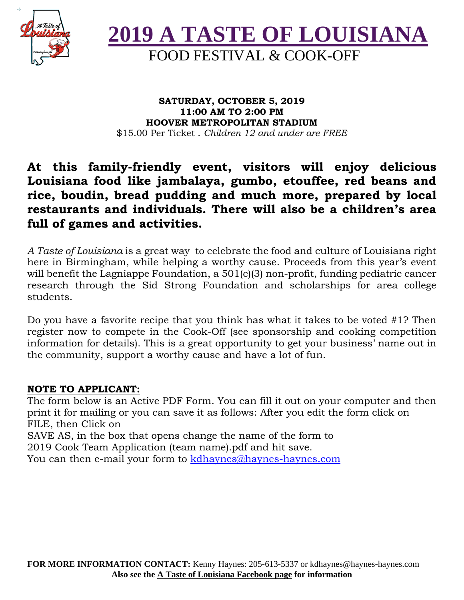



#### **SATURDAY, OCTOBER 5, 2019 11:00 AM TO 2:00 PM HOOVER METROPOLITAN STADIUM** \$15.00 Per Ticket . *Children 12 and under are FREE*

### **At this family-friendly event, visitors will enjoy delicious Louisiana food like jambalaya, gumbo, etouffee, red beans and rice, boudin, bread pudding and much more, prepared by local restaurants and individuals. There will also be a children's area full of games and activities.**

*A Taste of Louisiana* is a great way to celebrate the food and culture of Louisiana right here in Birmingham, while helping a worthy cause. Proceeds from this year's event will benefit the Lagniappe Foundation, a 501(c)(3) non-profit, funding pediatric cancer research through the Sid Strong Foundation and scholarships for area college students.

Do you have a favorite recipe that you think has what it takes to be voted #1? Then register now to compete in the Cook-Off (see sponsorship and cooking competition information for details). This is a great opportunity to get your business' name out in the community, support a worthy cause and have a lot of fun.

#### **NOTE TO APPLICANT:**

The form below is an Active PDF Form. You can fill it out on your computer and then print it for mailing or you can save it as follows: After you edit the form click on FILE, then Click on SAVE AS, in the box that opens change the name of the form to 2019 Cook Team Application (team name).pdf and hit save.

You can then e-mail your form to kdhaynes@haynes-haynes.com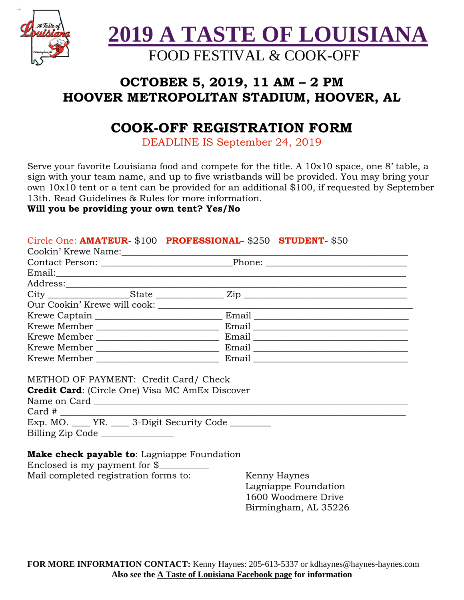

**2019 A TASTE OF LOUISIANA** 

# FOOD FESTIVAL & COOK-OFF

## **OCTOBER 5, 2019, 11 AM – 2 PM HOOVER METROPOLITAN STADIUM, HOOVER, AL**

## **COOK-OFF REGISTRATION FORM**

DEADLINE IS September 24, 2019

Serve your favorite Louisiana food and compete for the title. A 10x10 space, one 8' table, a sign with your team name, and up to five wristbands will be provided. You may bring your own 10x10 tent or a tent can be provided for an additional \$100, if requested by September 13th. Read Guidelines & Rules for more information.

#### **Will you be providing your own tent? Yes/No**

#### Circle One: **AMATEUR**- \$100 **PROFESSIONAL**- \$250 **STUDENT**- \$50

|                                       | Cookin' Krewe Name: Name: Name and All Cookin' Krewe Name: Name and All Cooking Service Cooking Service All Co |                                      |
|---------------------------------------|----------------------------------------------------------------------------------------------------------------|--------------------------------------|
|                                       |                                                                                                                |                                      |
|                                       |                                                                                                                |                                      |
|                                       |                                                                                                                |                                      |
|                                       |                                                                                                                |                                      |
|                                       |                                                                                                                |                                      |
|                                       |                                                                                                                |                                      |
|                                       |                                                                                                                |                                      |
|                                       |                                                                                                                |                                      |
|                                       |                                                                                                                |                                      |
|                                       |                                                                                                                |                                      |
|                                       | METHOD OF PAYMENT: Credit Card/ Check<br><b>Credit Card:</b> (Circle One) Visa MC AmEx Discover<br>$Card \#$   |                                      |
| Billing Zip Code                      | Exp. MO. ____ YR. ____ 3-Digit Security Code _______                                                           |                                      |
| Mail completed registration forms to: | <b>Make check payable to:</b> Lagniappe Foundation<br>Enclosed is my payment for $\frac{1}{2}$                 | Kenny Haynes<br>Lagniappe Foundation |

**FOR MORE INFORMATION CONTACT:** Kenny Haynes: 205-613-5337 or kdhaynes@haynes-haynes.com **Also see the A Taste of Louisiana Facebook page for information**

 1600 Woodmere Drive Birmingham, AL 35226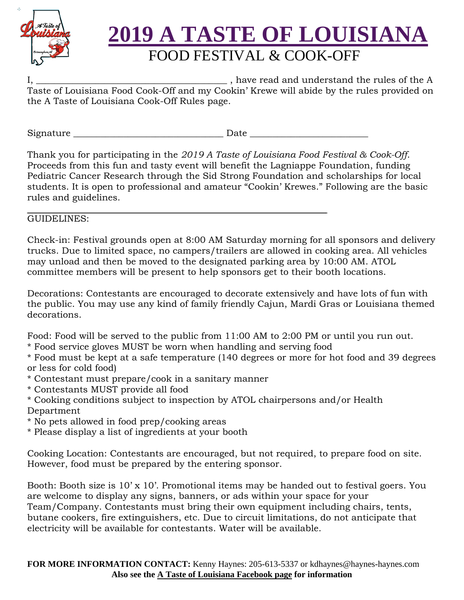

# **2019 A TASTE OF LOUISIANA**

# FOOD FESTIVAL & COOK-OFF

 $\Box$ , have read and understand the rules of the A Taste of Louisiana Food Cook-Off and my Cookin' Krewe will abide by the rules provided on the A Taste of Louisiana Cook-Off Rules page.

Signature \_\_\_\_\_\_\_\_\_\_\_\_\_\_\_\_\_\_\_\_\_\_\_\_\_\_\_\_\_\_\_\_\_ Date \_\_\_\_\_\_\_\_\_\_\_\_\_\_\_\_\_\_\_\_\_\_\_\_\_\_

Thank you for participating in the *2019 A Taste of Louisiana Food Festival & Cook-Off*. Proceeds from this fun and tasty event will benefit the Lagniappe Foundation, funding Pediatric Cancer Research through the Sid Strong Foundation and scholarships for local students. It is open to professional and amateur "Cookin' Krewes." Following are the basic rules and guidelines.

#### GUIDELINES:

Check-in: Festival grounds open at 8:00 AM Saturday morning for all sponsors and delivery trucks. Due to limited space, no campers/trailers are allowed in cooking area. All vehicles may unload and then be moved to the designated parking area by 10:00 AM. ATOL committee members will be present to help sponsors get to their booth locations.

Decorations: Contestants are encouraged to decorate extensively and have lots of fun with the public. You may use any kind of family friendly Cajun, Mardi Gras or Louisiana themed decorations.

Food: Food will be served to the public from 11:00 AM to 2:00 PM or until you run out.

\* Food service gloves MUST be worn when handling and serving food

\* Food must be kept at a safe temperature (140 degrees or more for hot food and 39 degrees or less for cold food)

- \* Contestant must prepare/cook in a sanitary manner
- \* Contestants MUST provide all food
- \* Cooking conditions subject to inspection by ATOL chairpersons and/or Health Department
- \* No pets allowed in food prep/cooking areas
- \* Please display a list of ingredients at your booth

Cooking Location: Contestants are encouraged, but not required, to prepare food on site. However, food must be prepared by the entering sponsor.

Booth: Booth size is 10' x 10'. Promotional items may be handed out to festival goers. You are welcome to display any signs, banners, or ads within your space for your Team/Company. Contestants must bring their own equipment including chairs, tents, butane cookers, fire extinguishers, etc. Due to circuit limitations, do not anticipate that electricity will be available for contestants. Water will be available.